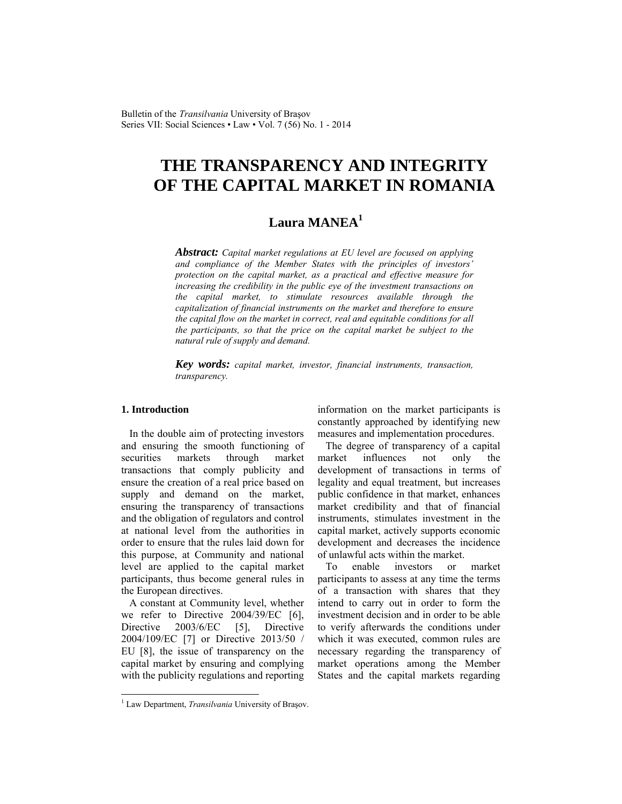Bulletin of the *Transilvania* University of Braşov Series VII: Social Sciences • Law • Vol. 7 (56) No. 1 - 2014

# **THE TRANSPARENCY AND INTEGRITY OF THE CAPITAL MARKET IN ROMANIA**

# **Laura MANEA<sup>1</sup>**

*Abstract: Capital market regulations at EU level are focused on applying and compliance of the Member States with the principles of investors' protection on the capital market, as a practical and effective measure for increasing the credibility in the public eye of the investment transactions on the capital market, to stimulate resources available through the capitalization of financial instruments on the market and therefore to ensure the capital flow on the market in correct, real and equitable conditions for all the participants, so that the price on the capital market be subject to the natural rule of supply and demand.* 

*Key words: capital market, investor, financial instruments, transaction, transparency.*

#### **1. Introduction**

In the double aim of protecting investors and ensuring the smooth functioning of securities markets through market transactions that comply publicity and ensure the creation of a real price based on supply and demand on the market, ensuring the transparency of transactions and the obligation of regulators and control at national level from the authorities in order to ensure that the rules laid down for this purpose, at Community and national level are applied to the capital market participants, thus become general rules in the European directives.

A constant at Community level, whether we refer to Directive 2004/39/EC [6], Directive 2003/6/EC [5]. Directive 2004/109/EC [7] or Directive 2013/50 / EU [8], the issue of transparency on the capital market by ensuring and complying with the publicity regulations and reporting information on the market participants is constantly approached by identifying new measures and implementation procedures.

The degree of transparency of a capital market influences not only the development of transactions in terms of legality and equal treatment, but increases public confidence in that market, enhances market credibility and that of financial instruments, stimulates investment in the capital market, actively supports economic development and decreases the incidence of unlawful acts within the market.

To enable investors or market participants to assess at any time the terms of a transaction with shares that they intend to carry out in order to form the investment decision and in order to be able to verify afterwards the conditions under which it was executed, common rules are necessary regarding the transparency of market operations among the Member States and the capital markets regarding

 1 Law Department, *Transilvania* University of Braşov.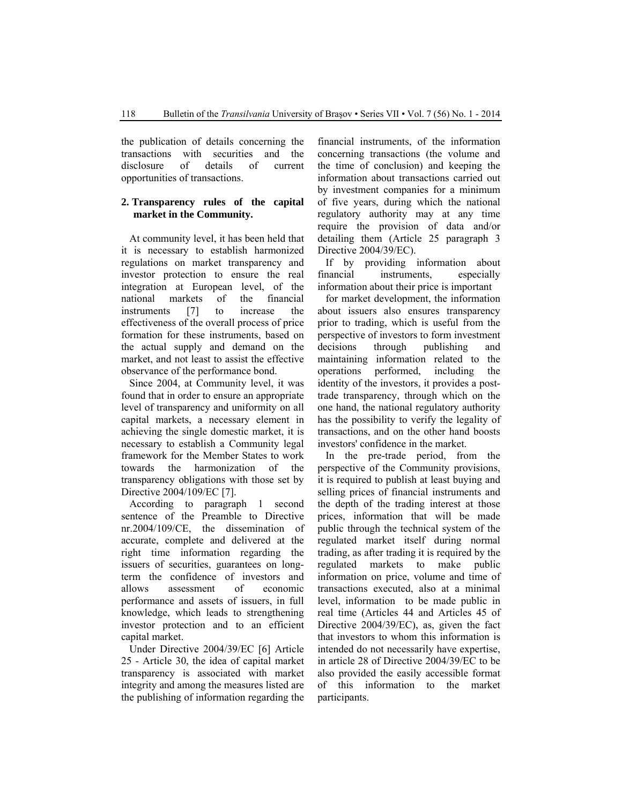the publication of details concerning the transactions with securities and the disclosure of details of current opportunities of transactions.

## **2. Transparency rules of the capital market in the Community.**

At community level, it has been held that it is necessary to establish harmonized regulations on market transparency and investor protection to ensure the real integration at European level, of the national markets of the financial instruments [7] to increase the effectiveness of the overall process of price formation for these instruments, based on the actual supply and demand on the market, and not least to assist the effective observance of the performance bond.

Since 2004, at Community level, it was found that in order to ensure an appropriate level of transparency and uniformity on all capital markets, a necessary element in achieving the single domestic market, it is necessary to establish a Community legal framework for the Member States to work towards the harmonization of the transparency obligations with those set by Directive 2004/109/EC [7].

According to paragraph 1 second sentence of the Preamble to Directive nr.2004/109/CE, the dissemination of accurate, complete and delivered at the right time information regarding the issuers of securities, guarantees on longterm the confidence of investors and allows assessment of economic performance and assets of issuers, in full knowledge, which leads to strengthening investor protection and to an efficient capital market.

Under Directive 2004/39/EC [6] Article 25 - Article 30, the idea of capital market transparency is associated with market integrity and among the measures listed are the publishing of information regarding the financial instruments, of the information concerning transactions (the volume and the time of conclusion) and keeping the information about transactions carried out by investment companies for a minimum of five years, during which the national regulatory authority may at any time require the provision of data and/or detailing them (Article 25 paragraph 3 Directive 2004/39/EC).

If by providing information about financial instruments, especially information about their price is important

for market development, the information about issuers also ensures transparency prior to trading, which is useful from the perspective of investors to form investment decisions through publishing and maintaining information related to the operations performed, including the identity of the investors, it provides a posttrade transparency, through which on the one hand, the national regulatory authority has the possibility to verify the legality of transactions, and on the other hand boosts investors' confidence in the market.

In the pre-trade period, from the perspective of the Community provisions, it is required to publish at least buying and selling prices of financial instruments and the depth of the trading interest at those prices, information that will be made public through the technical system of the regulated market itself during normal trading, as after trading it is required by the regulated markets to make public information on price, volume and time of transactions executed, also at a minimal level, information to be made public in real time (Articles 44 and Articles 45 of Directive 2004/39/EC), as, given the fact that investors to whom this information is intended do not necessarily have expertise, in article 28 of Directive 2004/39/EC to be also provided the easily accessible format of this information to the market participants.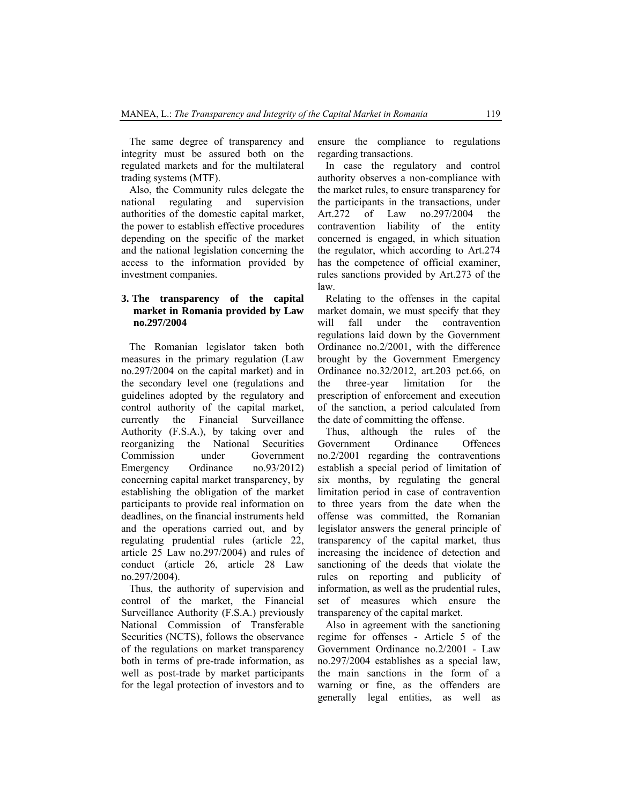The same degree of transparency and integrity must be assured both on the regulated markets and for the multilateral trading systems (MTF).

Also, the Community rules delegate the national regulating and supervision authorities of the domestic capital market, the power to establish effective procedures depending on the specific of the market and the national legislation concerning the access to the information provided by investment companies.

## **3. The transparency of the capital market in Romania provided by Law no.297/2004**

The Romanian legislator taken both measures in the primary regulation (Law no.297/2004 on the capital market) and in the secondary level one (regulations and guidelines adopted by the regulatory and control authority of the capital market, currently the Financial Surveillance Authority (F.S.A.), by taking over and reorganizing the National Securities Commission under Government Emergency Ordinance no.93/2012) concerning capital market transparency, by establishing the obligation of the market participants to provide real information on deadlines, on the financial instruments held and the operations carried out, and by regulating prudential rules (article 22, article 25 Law no.297/2004) and rules of conduct (article 26, article 28 Law no.297/2004).

Thus, the authority of supervision and control of the market, the Financial Surveillance Authority (F.S.A.) previously National Commission of Transferable Securities (NCTS), follows the observance of the regulations on market transparency both in terms of pre-trade information, as well as post-trade by market participants for the legal protection of investors and to ensure the compliance to regulations regarding transactions.

In case the regulatory and control authority observes a non-compliance with the market rules, to ensure transparency for the participants in the transactions, under Art.272 of Law no.297/2004 the contravention liability of the entity concerned is engaged, in which situation the regulator, which according to Art.274 has the competence of official examiner, rules sanctions provided by Art.273 of the law.

Relating to the offenses in the capital market domain, we must specify that they will fall under the contravention regulations laid down by the Government Ordinance no.2/2001, with the difference brought by the Government Emergency Ordinance no.32/2012, art.203 pct.66, on the three-year limitation for the prescription of enforcement and execution of the sanction, a period calculated from the date of committing the offense.

Thus, although the rules of the Government Ordinance Offences no.2/2001 regarding the contraventions establish a special period of limitation of six months, by regulating the general limitation period in case of contravention to three years from the date when the offense was committed, the Romanian legislator answers the general principle of transparency of the capital market, thus increasing the incidence of detection and sanctioning of the deeds that violate the rules on reporting and publicity of information, as well as the prudential rules, set of measures which ensure the transparency of the capital market.

Also in agreement with the sanctioning regime for offenses - Article 5 of the Government Ordinance no.2/2001 - Law no.297/2004 establishes as a special law, the main sanctions in the form of a warning or fine, as the offenders are generally legal entities, as well as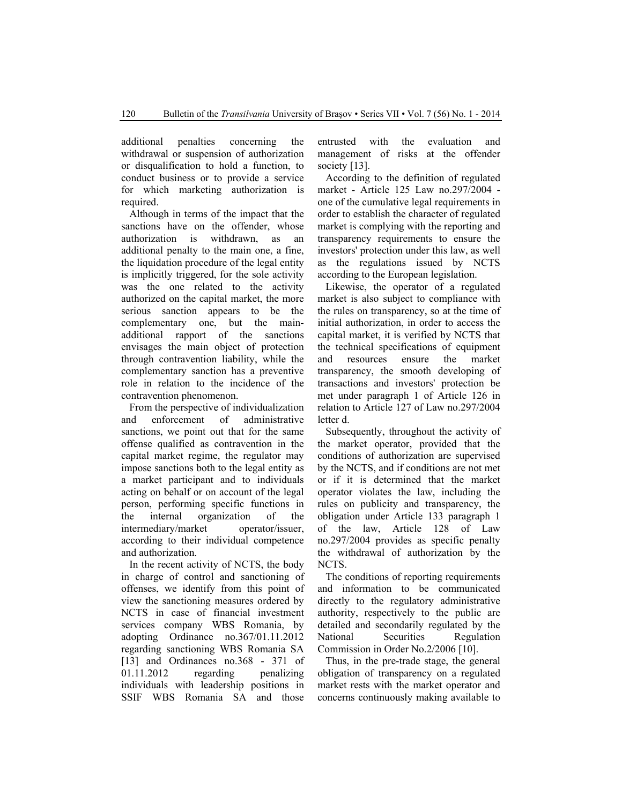additional penalties concerning the withdrawal or suspension of authorization or disqualification to hold a function, to conduct business or to provide a service for which marketing authorization is required.

Although in terms of the impact that the sanctions have on the offender, whose authorization is withdrawn, as an additional penalty to the main one, a fine, the liquidation procedure of the legal entity is implicitly triggered, for the sole activity was the one related to the activity authorized on the capital market, the more serious sanction appears to be the complementary one, but the mainadditional rapport of the sanctions envisages the main object of protection through contravention liability, while the complementary sanction has a preventive role in relation to the incidence of the contravention phenomenon.

From the perspective of individualization and enforcement of administrative sanctions, we point out that for the same offense qualified as contravention in the capital market regime, the regulator may impose sanctions both to the legal entity as a market participant and to individuals acting on behalf or on account of the legal person, performing specific functions in the internal organization of the intermediary/market operator/issuer, according to their individual competence and authorization.

In the recent activity of NCTS, the body in charge of control and sanctioning of offenses, we identify from this point of view the sanctioning measures ordered by NCTS in case of financial investment services company WBS Romania, by adopting Ordinance no.367/01.11.2012 regarding sanctioning WBS Romania SA [13] and Ordinances no.368 - 371 of 01.11.2012 regarding penalizing individuals with leadership positions in SSIF WBS Romania SA and those

entrusted with the evaluation and management of risks at the offender society [13].

According to the definition of regulated market - Article 125 Law no.297/2004 one of the cumulative legal requirements in order to establish the character of regulated market is complying with the reporting and transparency requirements to ensure the investors' protection under this law, as well as the regulations issued by NCTS according to the European legislation.

Likewise, the operator of a regulated market is also subject to compliance with the rules on transparency, so at the time of initial authorization, in order to access the capital market, it is verified by NCTS that the technical specifications of equipment and resources ensure the market transparency, the smooth developing of transactions and investors' protection be met under paragraph 1 of Article 126 in relation to Article 127 of Law no.297/2004 letter d.

Subsequently, throughout the activity of the market operator, provided that the conditions of authorization are supervised by the NCTS, and if conditions are not met or if it is determined that the market operator violates the law, including the rules on publicity and transparency, the obligation under Article 133 paragraph 1 of the law, Article 128 of Law no.297/2004 provides as specific penalty the withdrawal of authorization by the NCTS.

The conditions of reporting requirements and information to be communicated directly to the regulatory administrative authority, respectively to the public are detailed and secondarily regulated by the National Securities Regulation Commission in Order No.2/2006 [10].

Thus, in the pre-trade stage, the general obligation of transparency on a regulated market rests with the market operator and concerns continuously making available to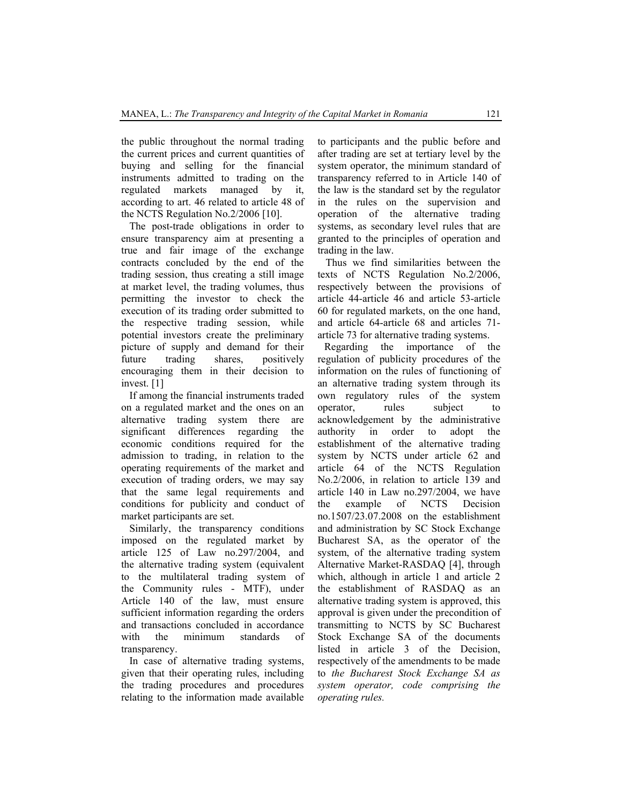the public throughout the normal trading the current prices and current quantities of buying and selling for the financial instruments admitted to trading on the regulated markets managed by it, according to art. 46 related to article 48 of the NCTS Regulation No.2/2006 [10].

The post-trade obligations in order to ensure transparency aim at presenting a true and fair image of the exchange contracts concluded by the end of the trading session, thus creating a still image at market level, the trading volumes, thus permitting the investor to check the execution of its trading order submitted to the respective trading session, while potential investors create the preliminary picture of supply and demand for their future trading shares, positively encouraging them in their decision to invest. [1]

If among the financial instruments traded on a regulated market and the ones on an alternative trading system there are significant differences regarding the economic conditions required for the admission to trading, in relation to the operating requirements of the market and execution of trading orders, we may say that the same legal requirements and conditions for publicity and conduct of market participants are set.

Similarly, the transparency conditions imposed on the regulated market by article 125 of Law no.297/2004, and the alternative trading system (equivalent to the multilateral trading system of the Community rules - MTF), under Article 140 of the law, must ensure sufficient information regarding the orders and transactions concluded in accordance with the minimum standards of transparency.

In case of alternative trading systems, given that their operating rules, including the trading procedures and procedures relating to the information made available to participants and the public before and after trading are set at tertiary level by the system operator, the minimum standard of transparency referred to in Article 140 of the law is the standard set by the regulator in the rules on the supervision and operation of the alternative trading systems, as secondary level rules that are granted to the principles of operation and trading in the law.

Thus we find similarities between the texts of NCTS Regulation No.2/2006, respectively between the provisions of article 44-article 46 and article 53-article 60 for regulated markets, on the one hand, and article 64-article 68 and articles 71 article 73 for alternative trading systems.

Regarding the importance of the regulation of publicity procedures of the information on the rules of functioning of an alternative trading system through its own regulatory rules of the system operator, rules subject to acknowledgement by the administrative authority in order to adopt the establishment of the alternative trading system by NCTS under article 62 and article 64 of the NCTS Regulation No.2/2006, in relation to article 139 and article 140 in Law no.297/2004, we have the example of NCTS Decision no.1507/23.07.2008 on the establishment and administration by SC Stock Exchange Bucharest SA, as the operator of the system, of the alternative trading system Alternative Market-RASDAQ [4], through which, although in article 1 and article 2 the establishment of RASDAQ as an alternative trading system is approved, this approval is given under the precondition of transmitting to NCTS by SC Bucharest Stock Exchange SA of the documents listed in article 3 of the Decision, respectively of the amendments to be made to *the Bucharest Stock Exchange SA as system operator, code comprising the operating rules.*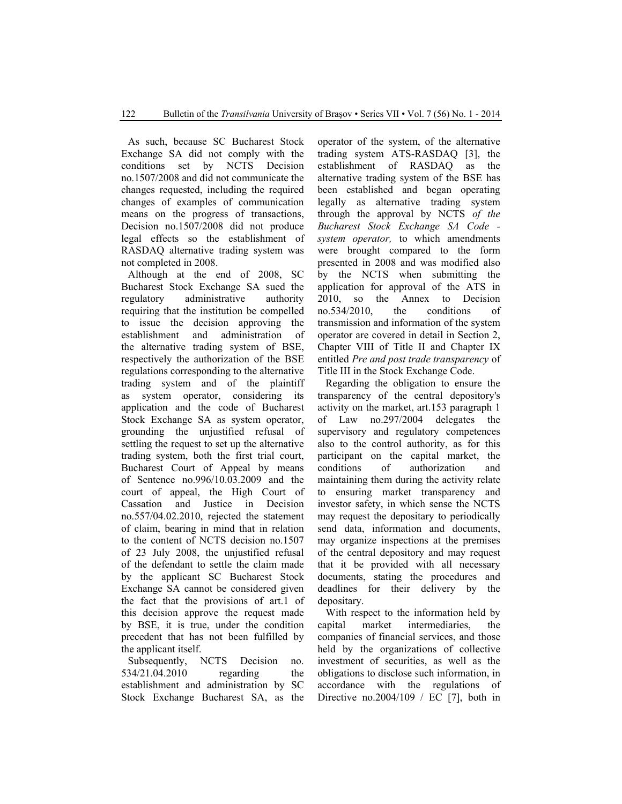As such, because SC Bucharest Stock Exchange SA did not comply with the conditions set by NCTS Decision no.1507/2008 and did not communicate the changes requested, including the required changes of examples of communication means on the progress of transactions, Decision no.1507/2008 did not produce legal effects so the establishment of RASDAQ alternative trading system was not completed in 2008.

Although at the end of 2008, SC Bucharest Stock Exchange SA sued the regulatory administrative authority requiring that the institution be compelled to issue the decision approving the establishment and administration of the alternative trading system of BSE, respectively the authorization of the BSE regulations corresponding to the alternative trading system and of the plaintiff as system operator, considering its application and the code of Bucharest Stock Exchange SA as system operator, grounding the unjustified refusal of settling the request to set up the alternative trading system, both the first trial court, Bucharest Court of Appeal by means of Sentence no.996/10.03.2009 and the court of appeal, the High Court of Cassation and Justice in Decision no.557/04.02.2010, rejected the statement of claim, bearing in mind that in relation to the content of NCTS decision no.1507 of 23 July 2008, the unjustified refusal of the defendant to settle the claim made by the applicant SC Bucharest Stock Exchange SA cannot be considered given the fact that the provisions of art.1 of this decision approve the request made by BSE, it is true, under the condition precedent that has not been fulfilled by the applicant itself.

Subsequently, NCTS Decision no. 534/21.04.2010 regarding the establishment and administration by SC Stock Exchange Bucharest SA, as the operator of the system, of the alternative trading system ATS-RASDAQ [3], the establishment of RASDAQ as the alternative trading system of the BSE has been established and began operating legally as alternative trading system through the approval by NCTS *of the Bucharest Stock Exchange SA Code system operator,* to which amendments were brought compared to the form presented in 2008 and was modified also by the NCTS when submitting the application for approval of the ATS in 2010, so the Annex to Decision no.534/2010, the conditions of transmission and information of the system operator are covered in detail in Section 2, Chapter VIII of Title II and Chapter IX entitled *Pre and post trade transparency* of Title III in the Stock Exchange Code.

Regarding the obligation to ensure the transparency of the central depository's activity on the market, art.153 paragraph 1 of Law no.297/2004 delegates the supervisory and regulatory competences also to the control authority, as for this participant on the capital market, the conditions of authorization and maintaining them during the activity relate to ensuring market transparency and investor safety, in which sense the NCTS may request the depositary to periodically send data, information and documents, may organize inspections at the premises of the central depository and may request that it be provided with all necessary documents, stating the procedures and deadlines for their delivery by the depositary.

With respect to the information held by capital market intermediaries, the companies of financial services, and those held by the organizations of collective investment of securities, as well as the obligations to disclose such information, in accordance with the regulations of Directive no.2004/109 / EC [7], both in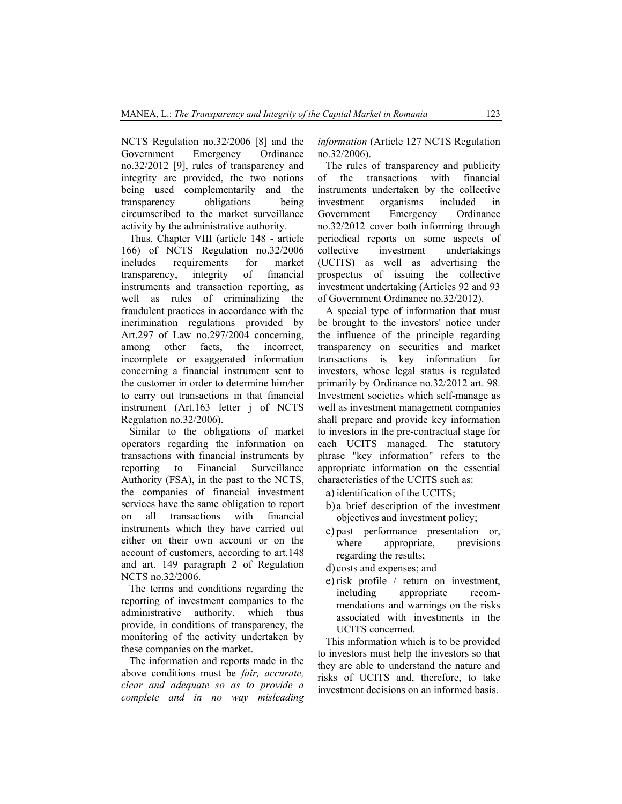NCTS Regulation no.32/2006 [8] and the Government Emergency Ordinance no.32/2012 [9], rules of transparency and integrity are provided, the two notions being used complementarily and the transparency obligations being circumscribed to the market surveillance activity by the administrative authority.

Thus, Chapter VIII (article 148 - article 166) of NCTS Regulation no.32/2006 includes requirements for market transparency, integrity of financial instruments and transaction reporting, as well as rules of criminalizing the fraudulent practices in accordance with the incrimination regulations provided by Art.297 of Law no.297/2004 concerning, among other facts, the incorrect, incomplete or exaggerated information concerning a financial instrument sent to the customer in order to determine him/her to carry out transactions in that financial instrument (Art.163 letter j of NCTS Regulation no.32/2006).

Similar to the obligations of market operators regarding the information on transactions with financial instruments by reporting to Financial Surveillance Authority (FSA), in the past to the NCTS, the companies of financial investment services have the same obligation to report on all transactions with financial instruments which they have carried out either on their own account or on the account of customers, according to art.148 and art. 149 paragraph 2 of Regulation NCTS no.32/2006.

The terms and conditions regarding the reporting of investment companies to the administrative authority, which thus provide, in conditions of transparency, the monitoring of the activity undertaken by these companies on the market.

The information and reports made in the above conditions must be *fair, accurate, clear and adequate so as to provide a complete and in no way misleading*  *information* (Article 127 NCTS Regulation no.32/2006).

The rules of transparency and publicity of the transactions with financial instruments undertaken by the collective investment organisms included in Government Emergency Ordinance no.32/2012 cover both informing through periodical reports on some aspects of collective investment undertakings (UCITS) as well as advertising the prospectus of issuing the collective investment undertaking (Articles 92 and 93 of Government Ordinance no.32/2012).

A special type of information that must be brought to the investors' notice under the influence of the principle regarding transparency on securities and market transactions is key information for investors, whose legal status is regulated primarily by Ordinance no.32/2012 art. 98. Investment societies which self-manage as well as investment management companies shall prepare and provide key information to investors in the pre-contractual stage for each UCITS managed. The statutory phrase "key information" refers to the appropriate information on the essential characteristics of the UCITS such as:

a) identification of the UCITS;

- b) a brief description of the investment objectives and investment policy;
- c) past performance presentation or, where appropriate, previsions regarding the results;
- d) costs and expenses; and
- e) risk profile / return on investment, including appropriate recommendations and warnings on the risks associated with investments in the UCITS concerned.

This information which is to be provided to investors must help the investors so that they are able to understand the nature and risks of UCITS and, therefore, to take investment decisions on an informed basis.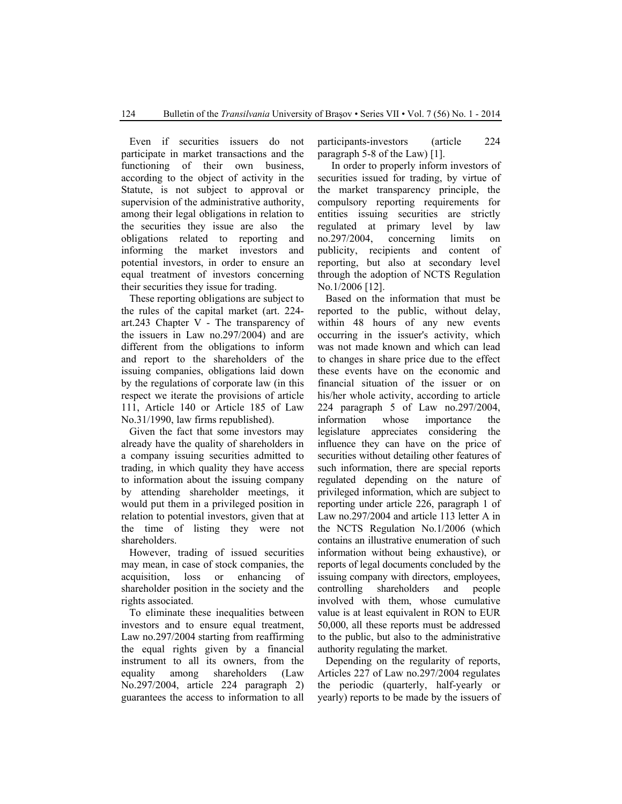Even if securities issuers do not participate in market transactions and the functioning of their own business, according to the object of activity in the Statute, is not subject to approval or supervision of the administrative authority, among their legal obligations in relation to the securities they issue are also the obligations related to reporting and informing the market investors and potential investors, in order to ensure an equal treatment of investors concerning their securities they issue for trading.

These reporting obligations are subject to the rules of the capital market (art. 224 art.243 Chapter V - The transparency of the issuers in Law no.297/2004) and are different from the obligations to inform and report to the shareholders of the issuing companies, obligations laid down by the regulations of corporate law (in this respect we iterate the provisions of article 111, Article 140 or Article 185 of Law No.31/1990, law firms republished).

Given the fact that some investors may already have the quality of shareholders in a company issuing securities admitted to trading, in which quality they have access to information about the issuing company by attending shareholder meetings, it would put them in a privileged position in relation to potential investors, given that at the time of listing they were not shareholders.

However, trading of issued securities may mean, in case of stock companies, the acquisition, loss or enhancing of shareholder position in the society and the rights associated.

To eliminate these inequalities between investors and to ensure equal treatment, Law no.297/2004 starting from reaffirming the equal rights given by a financial instrument to all its owners, from the equality among shareholders (Law No.297/2004, article 224 paragraph 2) guarantees the access to information to all

participants-investors (article 224 paragraph 5-8 of the Law) [1].

 In order to properly inform investors of securities issued for trading, by virtue of the market transparency principle, the compulsory reporting requirements for entities issuing securities are strictly regulated at primary level by law no.297/2004, concerning limits on publicity, recipients and content of reporting, but also at secondary level through the adoption of NCTS Regulation No.1/2006 [12].

Based on the information that must be reported to the public, without delay, within 48 hours of any new events occurring in the issuer's activity, which was not made known and which can lead to changes in share price due to the effect these events have on the economic and financial situation of the issuer or on his/her whole activity, according to article 224 paragraph 5 of Law no.297/2004, information whose importance the legislature appreciates considering the influence they can have on the price of securities without detailing other features of such information, there are special reports regulated depending on the nature of privileged information, which are subject to reporting under article 226, paragraph 1 of Law no.297/2004 and article 113 letter A in the NCTS Regulation No.1/2006 (which contains an illustrative enumeration of such information without being exhaustive), or reports of legal documents concluded by the issuing company with directors, employees, controlling shareholders and people involved with them, whose cumulative value is at least equivalent in RON to EUR 50,000, all these reports must be addressed to the public, but also to the administrative authority regulating the market.

Depending on the regularity of reports, Articles 227 of Law no.297/2004 regulates the periodic (quarterly, half-yearly or yearly) reports to be made by the issuers of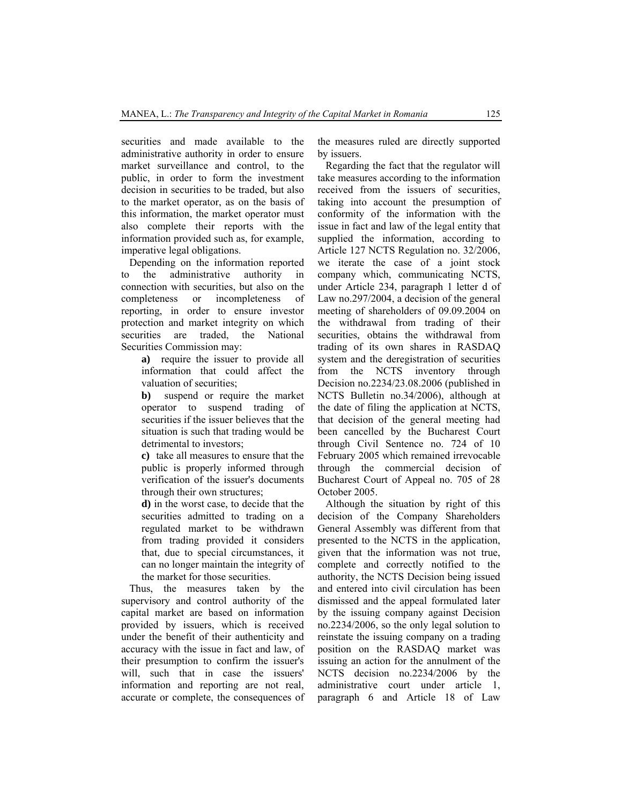securities and made available to the administrative authority in order to ensure market surveillance and control, to the public, in order to form the investment decision in securities to be traded, but also to the market operator, as on the basis of this information, the market operator must also complete their reports with the information provided such as, for example, imperative legal obligations.

Depending on the information reported to the administrative authority in connection with securities, but also on the completeness or incompleteness of reporting, in order to ensure investor protection and market integrity on which securities are traded, the National Securities Commission may:

> **a)** require the issuer to provide all information that could affect the valuation of securities;

> **b)** suspend or require the market operator to suspend trading of securities if the issuer believes that the situation is such that trading would be detrimental to investors;

> **c)** take all measures to ensure that the public is properly informed through verification of the issuer's documents through their own structures;

> **d)** in the worst case, to decide that the securities admitted to trading on a regulated market to be withdrawn from trading provided it considers that, due to special circumstances, it can no longer maintain the integrity of the market for those securities.

Thus, the measures taken by the supervisory and control authority of the capital market are based on information provided by issuers, which is received under the benefit of their authenticity and accuracy with the issue in fact and law, of their presumption to confirm the issuer's will, such that in case the issuers' information and reporting are not real, accurate or complete, the consequences of the measures ruled are directly supported by issuers.

Regarding the fact that the regulator will take measures according to the information received from the issuers of securities, taking into account the presumption of conformity of the information with the issue in fact and law of the legal entity that supplied the information, according to Article 127 NCTS Regulation no. 32/2006, we iterate the case of a joint stock company which, communicating NCTS, under Article 234, paragraph 1 letter d of Law no.297/2004, a decision of the general meeting of shareholders of 09.09.2004 on the withdrawal from trading of their securities, obtains the withdrawal from trading of its own shares in RASDAQ system and the deregistration of securities from the NCTS inventory through Decision no.2234/23.08.2006 (published in NCTS Bulletin no.34/2006), although at the date of filing the application at NCTS, that decision of the general meeting had been cancelled by the Bucharest Court through Civil Sentence no. 724 of 10 February 2005 which remained irrevocable through the commercial decision of Bucharest Court of Appeal no. 705 of 28 October 2005.

Although the situation by right of this decision of the Company Shareholders General Assembly was different from that presented to the NCTS in the application, given that the information was not true, complete and correctly notified to the authority, the NCTS Decision being issued and entered into civil circulation has been dismissed and the appeal formulated later by the issuing company against Decision no.2234/2006, so the only legal solution to reinstate the issuing company on a trading position on the RASDAQ market was issuing an action for the annulment of the NCTS decision no.2234/2006 by the administrative court under article 1, paragraph 6 and Article 18 of Law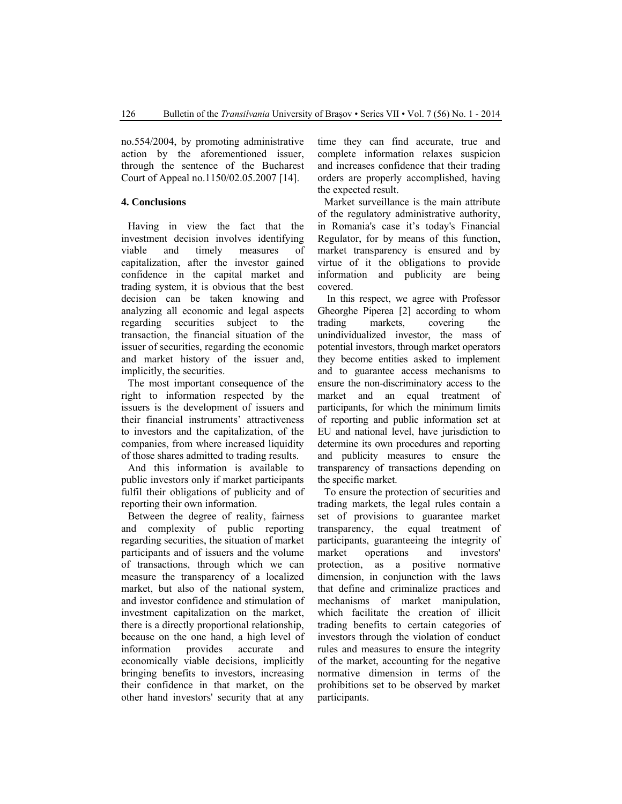no.554/2004, by promoting administrative action by the aforementioned issuer, through the sentence of the Bucharest Court of Appeal no.1150/02.05.2007 [14].

#### **4. Conclusions**

Having in view the fact that the investment decision involves identifying viable and timely measures of capitalization, after the investor gained confidence in the capital market and trading system, it is obvious that the best decision can be taken knowing and analyzing all economic and legal aspects regarding securities subject to the transaction, the financial situation of the issuer of securities, regarding the economic and market history of the issuer and, implicitly, the securities.

The most important consequence of the right to information respected by the issuers is the development of issuers and their financial instruments' attractiveness to investors and the capitalization, of the companies, from where increased liquidity of those shares admitted to trading results.

And this information is available to public investors only if market participants fulfil their obligations of publicity and of reporting their own information.

Between the degree of reality, fairness and complexity of public reporting regarding securities, the situation of market participants and of issuers and the volume of transactions, through which we can measure the transparency of a localized market, but also of the national system, and investor confidence and stimulation of investment capitalization on the market, there is a directly proportional relationship, because on the one hand, a high level of information provides accurate and economically viable decisions, implicitly bringing benefits to investors, increasing their confidence in that market, on the other hand investors' security that at any time they can find accurate, true and complete information relaxes suspicion and increases confidence that their trading orders are properly accomplished, having the expected result.

Market surveillance is the main attribute of the regulatory administrative authority, in Romania's case it's today's Financial Regulator, for by means of this function, market transparency is ensured and by virtue of it the obligations to provide information and publicity are being covered.

 In this respect, we agree with Professor Gheorghe Piperea [2] according to whom trading markets, covering the unindividualized investor, the mass of potential investors, through market operators they become entities asked to implement and to guarantee access mechanisms to ensure the non-discriminatory access to the market and an equal treatment of participants, for which the minimum limits of reporting and public information set at EU and national level, have jurisdiction to determine its own procedures and reporting and publicity measures to ensure the transparency of transactions depending on the specific market.

To ensure the protection of securities and trading markets, the legal rules contain a set of provisions to guarantee market transparency, the equal treatment of participants, guaranteeing the integrity of market operations and investors' protection, as a positive normative dimension, in conjunction with the laws that define and criminalize practices and mechanisms of market manipulation, which facilitate the creation of illicit trading benefits to certain categories of investors through the violation of conduct rules and measures to ensure the integrity of the market, accounting for the negative normative dimension in terms of the prohibitions set to be observed by market participants.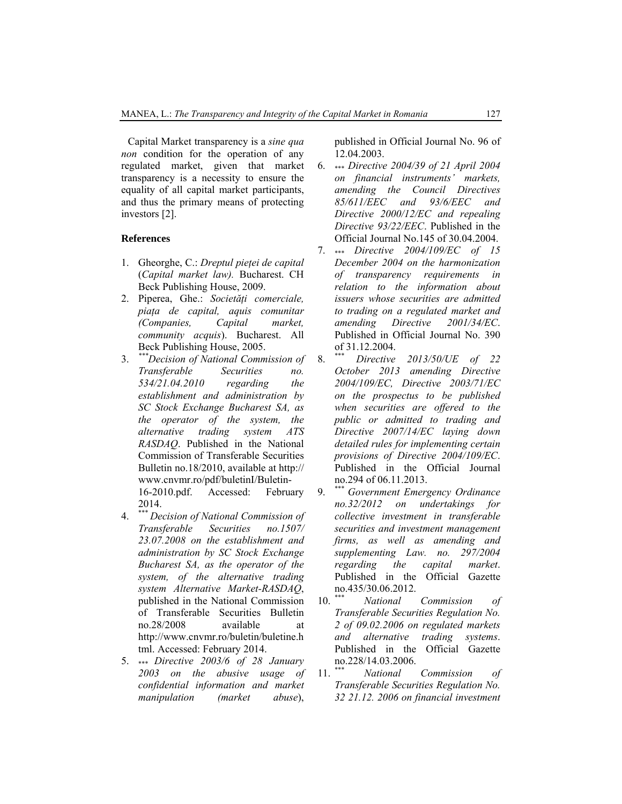Capital Market transparency is a *sine qua non* condition for the operation of any regulated market, given that market transparency is a necessity to ensure the equality of all capital market participants, and thus the primary means of protecting investors [2].

#### **References**

- 1. Gheorghe, C.: *Dreptul pieţei de capital* (*Capital market law).* Bucharest. CH Beck Publishing House, 2009.
- 2. Piperea, Ghe.: *Societăţi comerciale, piaţa de capital, aquis comunitar (Companies, Capital market, community acquis*). Bucharest. All Beck Publishing House, 2005.
- 3. *\*\*\*Decision of National Commission of Transferable Securities no. 534/21.04.2010 regarding the establishment and administration by SC Stock Exchange Bucharest SA, as the operator of the system, the alternative trading system ATS RASDAQ*. Published in the National Commission of Transferable Securities Bulletin no.18/2010, available at http:// www.cnvmr.ro/pdf/buletinI/Buletin-16-2010.pdf. Accessed: February

2014. 4. \*\*\* *Decision of National Commission of* 

- *Transferable Securities no.1507/ 23.07.2008 on the establishment and administration by SC Stock Exchange Bucharest SA, as the operator of the system, of the alternative trading system Alternative Market-RASDAQ*, published in the National Commission of Transferable Securities Bulletin no.28/2008 available at http://www.cnvmr.ro/buletin/buletine.h tml. Accessed: February 2014.
- 5. \*\*\* *Directive 2003/6 of 28 January 2003 on the abusive usage of confidential information and market manipulation (market abuse*),

published in Official Journal No. 96 of 12.04.2003.

- 6. \*\*\* *Directive 2004/39 of 21 April 2004 on financial instruments' markets, amending the Council Directives 85/611/EEC and 93/6/EEC and Directive 2000/12/EC and repealing Directive 93/22/EEC*. Published in the Official Journal No.145 of 30.04.2004.
- 7. \*\*\* *Directive 2004/109/EC of 15 December 2004 on the harmonization of transparency requirements in relation to the information about issuers whose securities are admitted to trading on a regulated market and amending Directive 2001/34/EC*. Published in Official Journal No. 390 of 31.12.2004.
- 8. \*\*\* *Directive 2013/50/UE of 22 October 2013 amending Directive 2004/109/EC, Directive 2003/71/EC on the prospectus to be published when securities are offered to the public or admitted to trading and Directive 2007/14/EC laying down detailed rules for implementing certain provisions of Directive 2004/109/EC*. Published in the Official Journal no.294 of 06.11.2013.
- 9. \*\*\* *Government Emergency Ordinance no.32/2012 on undertakings for collective investment in transferable securities and investment management firms, as well as amending and supplementing Law. no. 297/2004 regarding the capital market*. Published in the Official Gazette no.435/30.06.2012.
- 10. \*\*\* *National Commission of Transferable Securities Regulation No. 2 of 09.02.2006 on regulated markets and alternative trading systems*. Published in the Official Gazette no.228/14.03.2006.
- 11. \*\*\* *National Commission of Transferable Securities Regulation No. 32 21.12. 2006 on financial investment*